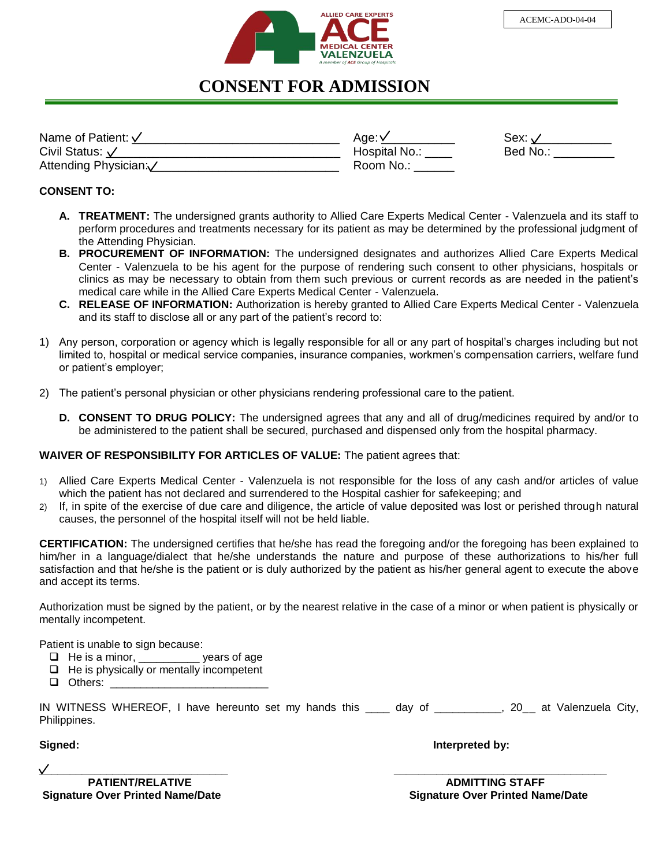

## **CONSENT FOR ADMISSION**

| Name of Patient: √       | Age: '      | Sex:     |
|--------------------------|-------------|----------|
| Civil Status: $\sqrt{ }$ | Hospital No | Bed No.: |
| Attending Physician:     | Room No.:   |          |

## **CONSENT TO:**

- **A. TREATMENT:** The undersigned grants authority to Allied Care Experts Medical Center Valenzuela and its staff to perform procedures and treatments necessary for its patient as may be determined by the professional judgment of the Attending Physician.
- **B. PROCUREMENT OF INFORMATION:** The undersigned designates and authorizes Allied Care Experts Medical Center - Valenzuela to be his agent for the purpose of rendering such consent to other physicians, hospitals or clinics as may be necessary to obtain from them such previous or current records as are needed in the patient's medical care while in the Allied Care Experts Medical Center - Valenzuela.
- **C. RELEASE OF INFORMATION:** Authorization is hereby granted to Allied Care Experts Medical Center Valenzuela and its staff to disclose all or any part of the patient's record to:
- 1) Any person, corporation or agency which is legally responsible for all or any part of hospital's charges including but not limited to, hospital or medical service companies, insurance companies, workmen's compensation carriers, welfare fund or patient's employer;
- 2) The patient's personal physician or other physicians rendering professional care to the patient.
	- **D. CONSENT TO DRUG POLICY:** The undersigned agrees that any and all of drug/medicines required by and/or to be administered to the patient shall be secured, purchased and dispensed only from the hospital pharmacy.

## **WAIVER OF RESPONSIBILITY FOR ARTICLES OF VALUE:** The patient agrees that:

- 1) Allied Care Experts Medical Center Valenzuela is not responsible for the loss of any cash and/or articles of value which the patient has not declared and surrendered to the Hospital cashier for safekeeping; and
- 2) If, in spite of the exercise of due care and diligence, the article of value deposited was lost or perished through natural causes, the personnel of the hospital itself will not be held liable.

**CERTIFICATION:** The undersigned certifies that he/she has read the foregoing and/or the foregoing has been explained to him/her in a language/dialect that he/she understands the nature and purpose of these authorizations to his/her full satisfaction and that he/she is the patient or is duly authorized by the patient as his/her general agent to execute the above and accept its terms.

Authorization must be signed by the patient, or by the nearest relative in the case of a minor or when patient is physically or mentally incompetent.

Patient is unable to sign because:

- $\Box$  He is a minor, ears of age
- $\Box$  He is physically or mentally incompetent
- $\Box$  Others:

|              | IN WITNESS WHEREOF, I have hereunto set my hands this ____ day of |  |  |  |  | __________, 20__ at Valenzuela City, |  |
|--------------|-------------------------------------------------------------------|--|--|--|--|--------------------------------------|--|
| Philippines. |                                                                   |  |  |  |  |                                      |  |

**Signed: Interpreted by:** 

**PATIENT/RELATIVE ADMITTING STAFF** 

 **Signature Over Printed Name/Date Signature Over Printed Name/Date**